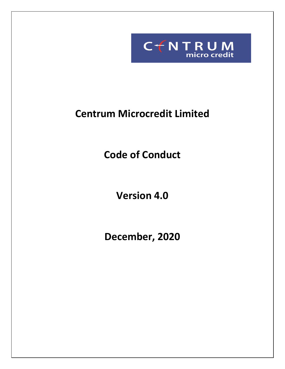

# **Centrum Microcredit Limited**

**Code of Conduct**

**Version 4.0**

**December, 2020**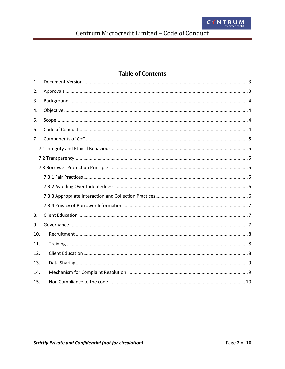# **Table of Contents**

| 1.  |  |  |  |  |  |  |
|-----|--|--|--|--|--|--|
| 2.  |  |  |  |  |  |  |
| 3.  |  |  |  |  |  |  |
| 4.  |  |  |  |  |  |  |
| 5.  |  |  |  |  |  |  |
| 6.  |  |  |  |  |  |  |
| 7.  |  |  |  |  |  |  |
|     |  |  |  |  |  |  |
|     |  |  |  |  |  |  |
|     |  |  |  |  |  |  |
|     |  |  |  |  |  |  |
|     |  |  |  |  |  |  |
|     |  |  |  |  |  |  |
|     |  |  |  |  |  |  |
| 8.  |  |  |  |  |  |  |
| 9.  |  |  |  |  |  |  |
| 10. |  |  |  |  |  |  |
| 11. |  |  |  |  |  |  |
| 12. |  |  |  |  |  |  |
| 13. |  |  |  |  |  |  |
| 14. |  |  |  |  |  |  |
| 15. |  |  |  |  |  |  |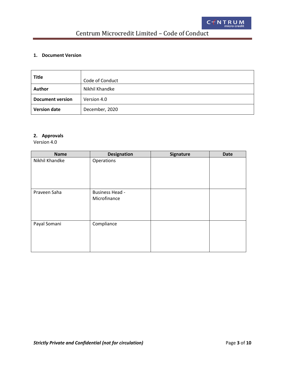# Centrum Microcredit Limited – Code of Conduct

## <span id="page-2-0"></span>**1. Document Version**

| <b>Title</b>            | Code of Conduct |
|-------------------------|-----------------|
| <b>Author</b>           | Nikhil Khandke  |
| <b>Document version</b> | Version 4.0     |
| <b>Version date</b>     | December, 2020  |

# <span id="page-2-1"></span>**2. Approvals**

Version 4.0

| <b>Name</b>    | <b>Designation</b>                     | Signature | <b>Date</b> |
|----------------|----------------------------------------|-----------|-------------|
| Nikhil Khandke | Operations                             |           |             |
| Praveen Saha   | <b>Business Head -</b><br>Microfinance |           |             |
| Payal Somani   | Compliance                             |           |             |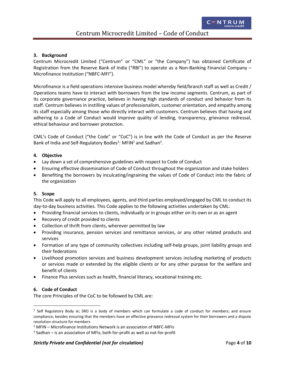#### <span id="page-3-0"></span>**3. Background**

Centrum Microcredit Limited ("Centrum" or "CML" or "the Company") has obtained Certificate of Registration from the Reserve Bank of India ("RBI") to operate as a Non-Banking Financial Company -Microfinance Institution ("NBFC-MFI").

Microfinance is a field operations intensive business model whereby field/branch staff as well as Credit / Operations teams have to interact with borrowers from the low income segments. Centrum, as part of its corporate governance practice, believes in having high standards of conduct and behavior from its staff. Centrum believes in instilling values of professionalism, customer orientation, and empathy among its staff especially among those who directly interact with customers. Centrum believes that having and adhering to a Code of Conduct would improve quality of lending, transparency, grievance redressal, ethical behaviour and borrower protection.

CML's Code of Conduct ("the Code" or "CoC") is in line with the Code of Conduct as per the Reserve Bank of India and Self-Regulatory Bodies<sup>1</sup>: MFIN<sup>2</sup> and Sadhan<sup>3</sup>.

#### <span id="page-3-1"></span>**4. Objective**

- Lay down a set of comprehensive guidelines with respect to Code of Conduct
- Ensuring effective dissemination of Code of Conduct throughout the organization and stake holders
- Benefiting the borrowers by inculcating/ingraining the values of Code of Conduct into the fabric of the organization

#### <span id="page-3-2"></span>**5. Scope**

This Code will apply to all employees, agents, and third parties employed/engaged by CML to conduct its day-to-day business activities. This Code applies to the following activities undertaken by CML:

- Providing financial services to clients, individually or in groups either on its own or as an agent
- Recovery of credit provided to clients
- Collection of thrift from clients, wherever permitted by law
- Providing insurance, pension services and remittance services, or any other related products and services
- Formation of any type of community collectives including self-help groups, joint liability groups and their federations
- Livelihood promotion services and business development services including marketing of products or services made or extended by the eligible clients or for any other purpose for the welfare and benefit of clients
- Finance Plus services such as health, financial literacy, vocational training etc.

#### <span id="page-3-3"></span>**6. Code of Conduct**

 $\overline{\phantom{a}}$ 

The core Principles of the CoC to be followed by CML are:

<sup>&</sup>lt;sup>1</sup> Self Regulatory Body ie; SRO is a body of members which can formulate a code of conduct for members; and ensure compliance, besides ensuring that the members have an effective grievance redressal system for their borrowers and a dispute resolution structure for members

<sup>2</sup> MFIN – Microfinance Institutions Network is an association of NBFC-MFIs

<sup>&</sup>lt;sup>3</sup> Sadhan – is an association of MFIs; both for-profit as well as not-for-profit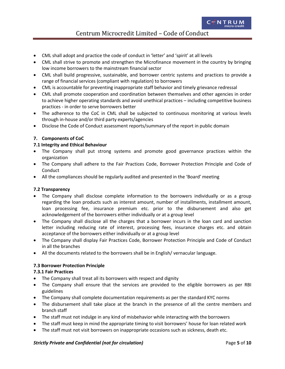# Centrum Microcredit Limited – Code of Conduct

- CML shall adopt and practice the code of conduct in 'letter' and 'spirit' at all levels
- CML shall strive to promote and strengthen the Microfinance movement in the country by bringing low income borrowers to the mainstream financial sector
- CML shall build progressive, sustainable, and borrower centric systems and practices to provide a range of financial services (compliant with regulation) to borrowers
- CML is accountable for preventing inappropriate staff behavior and timely grievance redressal
- CML shall promote cooperation and coordination between themselves and other agencies in order to achieve higher operating standards and avoid unethical practices – including competitive business practices - in order to serve borrowers better
- The adherence to the CoC in CML shall be subjected to continuous monitoring at various levels through in-house and/or third party experts/agencies
- Disclose the Code of Conduct assessment reports/summary of the report in public domain

## <span id="page-4-0"></span>**7. Components of CoC**

## <span id="page-4-1"></span>**7.1 Integrity and Ethical Behaviour**

- The Company shall put strong systems and promote good governance practices within the organization
- The Company shall adhere to the Fair Practices Code, Borrower Protection Principle and Code of **Conduct**
- All the compliances should be regularly audited and presented in the 'Board' meeting

#### <span id="page-4-2"></span>**7.2 Transparency**

- The Company shall disclose complete information to the borrowers individually or as a group regarding the loan products such as interest amount, number of installments, installment amount, loan processing fee, insurance premium etc. prior to the disbursement and also get acknowledgement of the borrowers either individually or at a group level
- The Company shall disclose all the charges that a borrower incurs in the loan card and sanction letter including reducing rate of interest, processing fees, insurance charges etc. and obtain acceptance of the borrowers either individually or at a group level
- The Company shall display Fair Practices Code, Borrower Protection Principle and Code of Conduct in all the branches
- All the documents related to the borrowers shall be in English/ vernacular language.

#### <span id="page-4-3"></span>**7.3 Borrower Protection Principle**

#### <span id="page-4-4"></span>**7.3.1 Fair Practices**

- The Company shall treat all its borrowers with respect and dignity
- The Company shall ensure that the services are provided to the eligible borrowers as per RBI guidelines
- The Company shall complete documentation requirements as per the standard KYC norms
- The disbursement shall take place at the branch in the presence of all the centre members and branch staff
- The staff must not indulge in any kind of misbehavior while interacting with the borrowers
- The staff must keep in mind the appropriate timing to visit borrowers' house for loan related work
- The staff must not visit borrowers on inappropriate occasions such as sickness, death etc.

#### *Strictly Private and Confidential (not for circulation)* Page **5** of **10**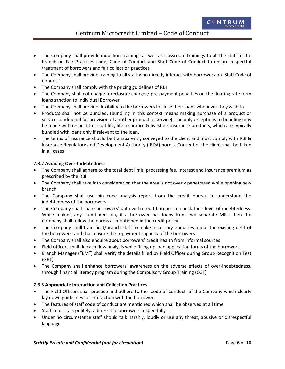- The Company shall provide induction trainings as well as classroom trainings to all the staff at the branch on Fair Practices code, Code of Conduct and Staff Code of Conduct to ensure respectful treatment of borrowers and fair collection practices
- The Company shall provide training to all staff who directly interact with borrowers on 'Staff Code of Conduct'
- The Company shall comply with the pricing guidelines of RBI
- The Company shall not charge foreclosure charges/ pre-payment penalties on the floating rate term loans sanction to Individual Borrower
- The Company shall provide flexibility to the borrowers to close their loans whenever they wish to
- Products shall not be bundled. (Bundling in this context means making purchase of a product or service conditional for provision of another product or service). The only exceptions to bundling may be made with respect to credit life, life insurance & livestock insurance products, which are typically bundled with loans only if relevant to the loan.
- The terms of insurance should be transparently conveyed to the client and must comply with RBI & Insurance Regulatory and Development Authority (IRDA) norms. Consent of the client shall be taken in all cases

## <span id="page-5-0"></span>**7.3.2 Avoiding Over-Indebtedness**

- The Company shall adhere to the total debt limit, processing fee, interest and insurance premium as prescribed by the RBI
- The Company shall take into consideration that the area is not overly penetrated while opening new branch
- The Company shall use pin code analysis report from the credit bureau to understand the indebtedness of the borrowers
- The Company shall share borrowers' data with credit bureaus to check their level of indebtedness. While making any credit decision, if a borrower has loans from two separate MFIs then the Company shall follow the norms as mentioned in the credit policy.
- The Company shall train field/branch staff to make necessary enquiries about the existing debt of the borrowers; and shall ensure the repayment capacity of the borrowers
- The Company shall also enquire about borrowers' credit health from informal sources
- Field officers shall do cash flow analysis while filling up loan application forms of the borrowers
- Branch Manager ("BM") shall verify the details filled by Field Officer during Group Recognition Test (GRT)
- The Company shall enhance borrowers' awareness on the adverse effects of over-indebtedness, through financial literacy program during the Compulsory Group Training (CGT)

#### <span id="page-5-1"></span>**7.3.3 Appropriate Interaction and Collection Practices**

- The Field Officers shall practice and adhere to the 'Code of Conduct' of the Company which clearly lay down guidelines for interaction with the borrowers
- The features of staff code of conduct are mentioned which shall be observed at all time
- Staffs must talk politely, address the borrowers respectfully
- Under no circumstance staff should talk harshly, loudly or use any threat, abusive or disrespectful language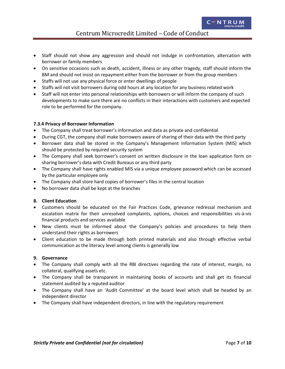Centrum Microcredit Limited – Code of Conduct

- Staff should not show any aggression and should not indulge in confrontation, altercation with borrower or family members
- On sensitive occasions such as death, accident, illness or any other tragedy, staff should inform the BM and should not insist on repayment either from the borrower or from the group members
- Staffs will not use any physical force or enter dwellings of people
- Staffs will not visit borrowers during odd hours at any location for any business related work
- Staff will not enter into personal relationships with borrowers or will inform the company of such developments to make sure there are no conflicts in their interactions with customers and expected role to be performed for the company.

#### <span id="page-6-0"></span>**7.3.4 Privacy of Borrower Information**

- The Company shall treat borrower's information and data as private and confidential
- During CGT, the company shall make borrowers aware of sharing of their data with the third party
- Borrower data shall be stored in the Company's Management Information System (MIS) which should be protected by required security system
- The Company shall seek borrower's consent on written disclosure in the loan application form on sharing borrower's data with Credit Bureaus or any third party
- The Company shall have rights enabled MIS via a unique employee password which can be accessed by the particular employee only
- The Company shall store hard copies of borrower's files in the central location
- No borrower data shall be kept at the branches

#### <span id="page-6-1"></span>**8. Client Education**

- Customers should be educated on the Fair Practices Code, grievance redressal mechanism and escalation matrix for their unresolved complaints, options, choices and responsibilities vis-à-vis financial products and services available
- New clients must be informed about the Company's policies and procedures to help them understand their rights as borrowers
- Client education to be made through both printed materials and also through effective verbal communication as the literacy level among clients is generally low

#### <span id="page-6-2"></span>**9. Governance**

- The Company shall comply with all the RBI directives regarding the rate of interest, margin, no collateral, qualifying assets etc.
- The Company shall be transparent in maintaining books of accounts and shall get its financial statement audited by a reputed auditor
- The Company shall have an 'Audit Committee' at the board level which shall be headed by an independent director
- The Company shall have independent directors, in line with the regulatory requirement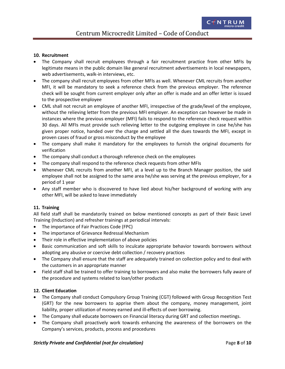#### <span id="page-7-0"></span>**10. Recruitment**

- The Company shall recruit employees through a fair recruitment practice from other MFIs by legitimate means in the public domain like general recruitment advertisements in local newspapers, web advertisements, walk-in interviews, etc.
- The company shall recruit employees from other MFIs as well. Whenever CML recruits from another MFI, it will be mandatory to seek a reference check from the previous employer. The reference check will be sought from current employer only after an offer is made and an offer letter is issued to the prospective employee
- CML shall not recruit an employee of another MFI, irrespective of the grade/level of the employee, without the relieving letter from the previous MFI employer. An exception can however be made in instances where the previous employer (MFI) fails to respond to the reference check request within 30 days. All MFIs must provide such relieving letter to the outgoing employee in case he/she has given proper notice, handed over the charge and settled all the dues towards the MFI, except in proven cases of fraud or gross misconduct by the employee
- The company shall make it mandatory for the employees to furnish the original documents for verification
- The company shall conduct a thorough reference check on the employees
- The company shall respond to the reference check requests from other MFIs
- Whenever CML recruits from another MFI, at a level up to the Branch Manager position, the said employee shall not be assigned to the same area he/she was serving at the previous employer, for a period of 1 year
- Any staff member who is discovered to have lied about his/her background of working with any other MFI, will be asked to leave immediately

#### <span id="page-7-1"></span>**11. Training**

All field staff shall be mandatorily trained on below mentioned concepts as part of their Basic Level Training (Induction) and refresher trainings at periodical intervals:

- The importance of Fair Practices Code (FPC)
- The importance of Grievance Redressal Mechanism
- Their role in effective implementation of above policies
- Basic communication and soft skills to inculcate appropriate behavior towards borrowers without adopting any abusive or coercive debt collection / recovery practices
- The Company shall ensure that the staff are adequately trained on collection policy and to deal with the customers in an appropriate manner
- Field staff shall be trained to offer training to borrowers and also make the borrowers fully aware of the procedure and systems related to loan/other products

#### <span id="page-7-2"></span>**12. Client Education**

- The Company shall conduct Compulsory Group Training (CGT) followed with Group Recognition Test (GRT) for the new borrowers to apprise them about the company, money management, joint liability, proper utilization of money earned and ill-effects of over borrowing.
- The Company shall educate borrowers on Financial literacy during GRT and collection meetings.
- The Company shall proactively work towards enhancing the awareness of the borrowers on the Company's services, products, process and procedures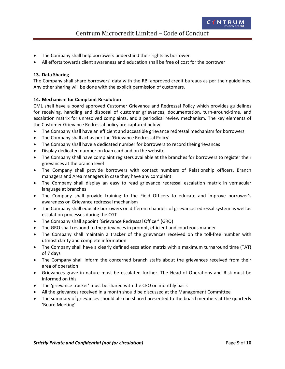- The Company shall help borrowers understand their rights as borrower
- All efforts towards client awareness and education shall be free of cost for the borrower

#### <span id="page-8-0"></span>**13. Data Sharing**

The Company shall share borrowers' data with the RBI approved credit bureaus as per their guidelines. Any other sharing will be done with the explicit permission of customers.

#### <span id="page-8-1"></span>**14. Mechanism for Complaint Resolution**

CML shall have a board approved Customer Grievance and Redressal Policy which provides guidelines for receiving, handling and disposal of customer grievances, documentation, turn-around-time, and escalation matrix for unresolved complaints, and a periodical review mechanism. The key elements of the Customer Grievance Redressal policy are captured below:

- The Company shall have an efficient and accessible grievance redressal mechanism for borrowers
- The Company shall act as per the 'Grievance Redressal Policy'
- The Company shall have a dedicated number for borrowers to record their grievances
- Display dedicated number on loan card and on the website
- The Company shall have complaint registers available at the branches for borrowers to register their grievances at the branch level
- The Company shall provide borrowers with contact numbers of Relationship officers, Branch managers and Area managers in case they have any complaint
- The Company shall display an easy to read grievance redressal escalation matrix in vernacular language at branches
- The Company shall provide training to the Field Officers to educate and improve borrower's awareness on Grievance redressal mechanism
- The Company shall educate borrowers on different channels of grievance redressal system as well as escalation processes during the CGT
- The Company shall appoint 'Grievance Redressal Officer' (GRO)
- The GRO shall respond to the grievances in prompt, efficient and courteous manner
- The Company shall maintain a tracker of the grievances received on the toll-free number with utmost clarity and complete information
- The Company shall have a clearly defined escalation matrix with a maximum turnaround time (TAT) of 7 days
- The Company shall inform the concerned branch staffs about the grievances received from their area of operation
- Grievances grave in nature must be escalated further. The Head of Operations and Risk must be informed on this
- The 'grievance tracker' must be shared with the CEO on monthly basis
- All the grievances received in a month should be discussed at the Management Committee
- The summary of grievances should also be shared presented to the board members at the quarterly 'Board Meeting'